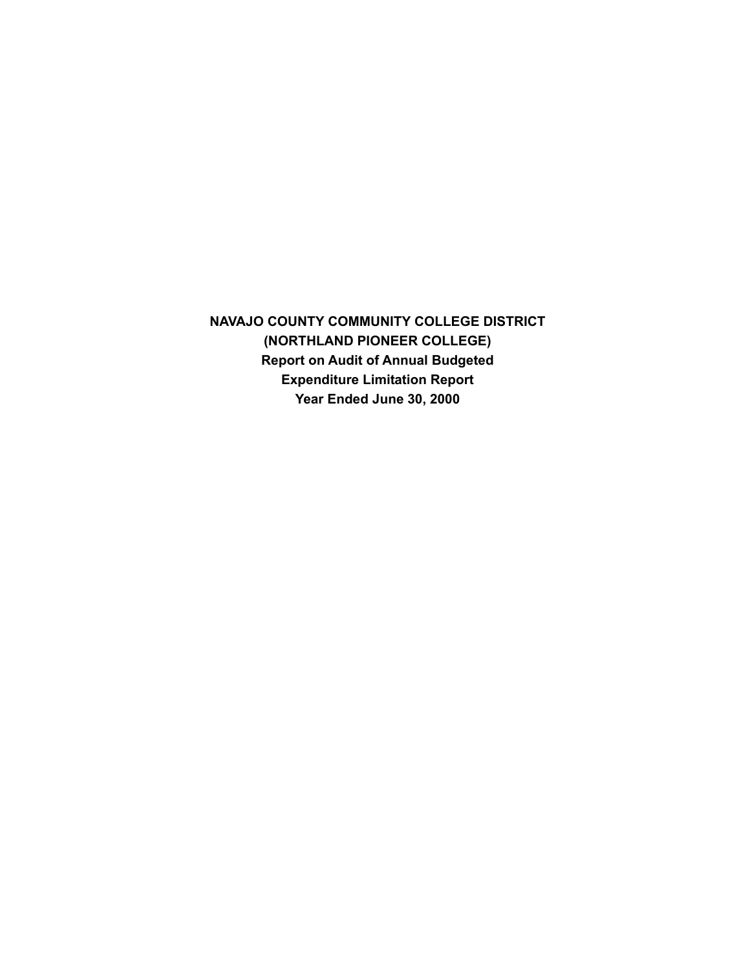**NAVAJO COUNTY COMMUNITY COLLEGE DISTRICT (NORTHLAND PIONEER COLLEGE) Report on Audit of Annual Budgeted Expenditure Limitation Report Year Ended June 30, 2000**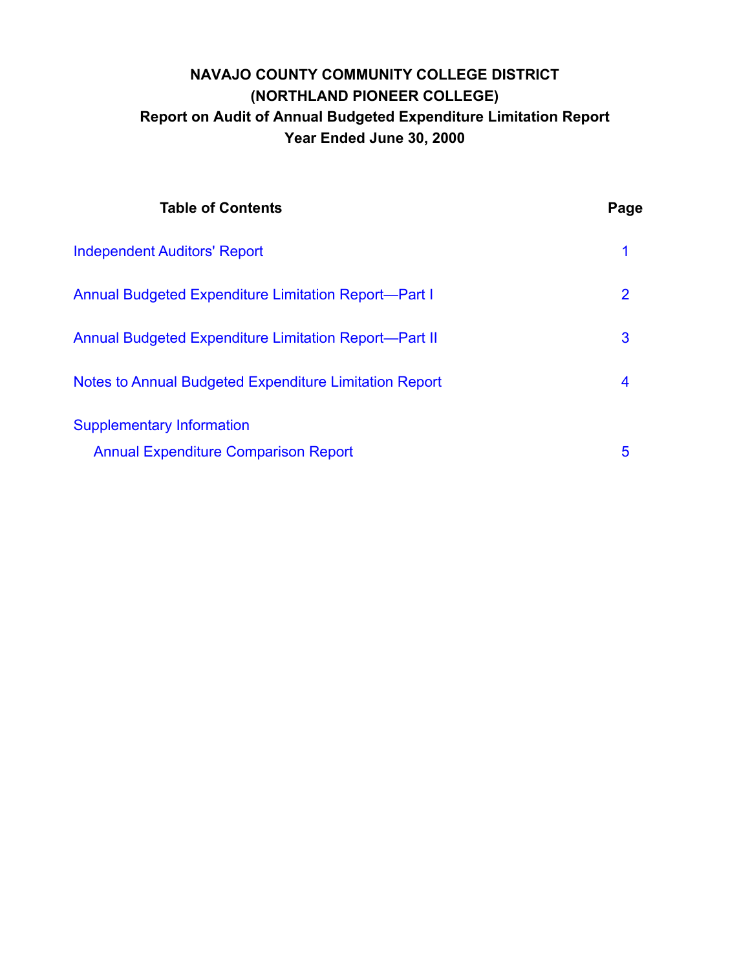# **NAVAJO COUNTY COMMUNITY COLLEGE DISTRICT (NORTHLAND PIONEER COLLEGE) Report on Audit of Annual Budgeted Expenditure Limitation Report Year Ended June 30, 2000**

| <b>Table of Contents</b>                                                        | Page           |
|---------------------------------------------------------------------------------|----------------|
| <b>Independent Auditors' Report</b>                                             | 1              |
| <b>Annual Budgeted Expenditure Limitation Report-Part I</b>                     | $\overline{2}$ |
| <b>Annual Budgeted Expenditure Limitation Report-Part II</b>                    | 3              |
| Notes to Annual Budgeted Expenditure Limitation Report                          | 4              |
| <b>Supplementary Information</b><br><b>Annual Expenditure Comparison Report</b> | 5              |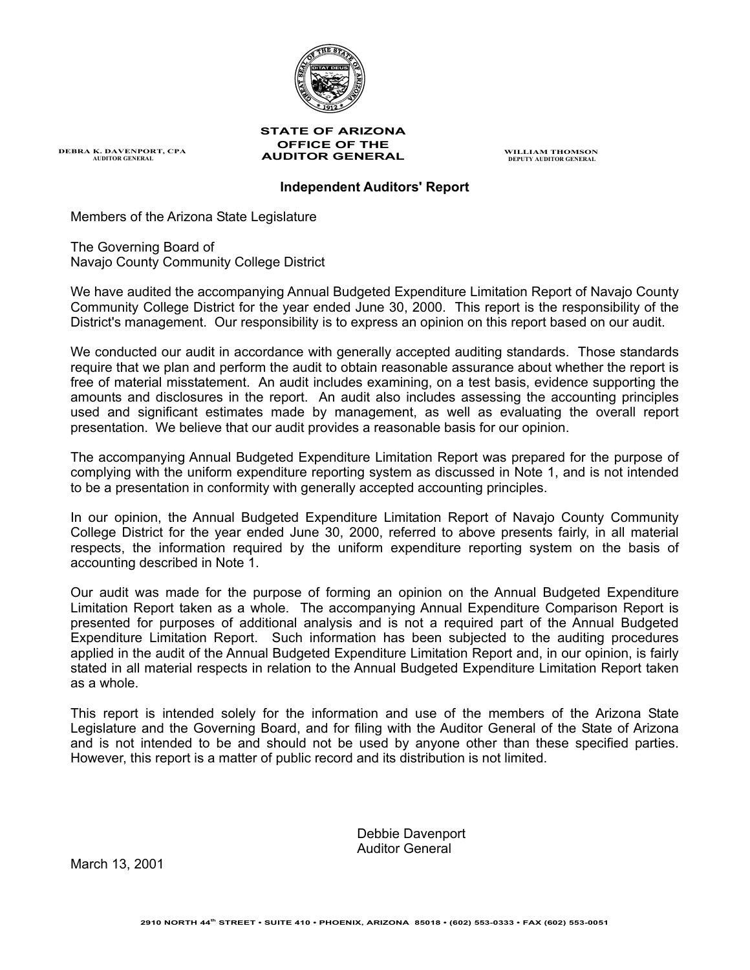

#### **STATE OF ARIZONA OFFICE OF THE AUDITOR GENERAL WILLIAM THOMSON DEPUTY AUDITOR GENERAL**

**Independent Auditors' Report** 

Members of the Arizona State Legislature

<span id="page-2-0"></span>**DEBRA K. DAVENPORT, CPA AUDITOR GENERAL** 

The Governing Board of Navajo County Community College District

We have audited the accompanying Annual Budgeted Expenditure Limitation Report of Navajo County Community College District for the year ended June 30, 2000. This report is the responsibility of the District's management. Our responsibility is to express an opinion on this report based on our audit.

We conducted our audit in accordance with generally accepted auditing standards. Those standards require that we plan and perform the audit to obtain reasonable assurance about whether the report is free of material misstatement. An audit includes examining, on a test basis, evidence supporting the amounts and disclosures in the report. An audit also includes assessing the accounting principles used and significant estimates made by management, as well as evaluating the overall report presentation. We believe that our audit provides a reasonable basis for our opinion.

The accompanying Annual Budgeted Expenditure Limitation Report was prepared for the purpose of complying with the uniform expenditure reporting system as discussed in Note 1, and is not intended to be a presentation in conformity with generally accepted accounting principles.

In our opinion, the Annual Budgeted Expenditure Limitation Report of Navajo County Community College District for the year ended June 30, 2000, referred to above presents fairly, in all material respects, the information required by the uniform expenditure reporting system on the basis of accounting described in Note 1.

Our audit was made for the purpose of forming an opinion on the Annual Budgeted Expenditure Limitation Report taken as a whole. The accompanying Annual Expenditure Comparison Report is presented for purposes of additional analysis and is not a required part of the Annual Budgeted Expenditure Limitation Report. Such information has been subjected to the auditing procedures applied in the audit of the Annual Budgeted Expenditure Limitation Report and, in our opinion, is fairly stated in all material respects in relation to the Annual Budgeted Expenditure Limitation Report taken as a whole.

This report is intended solely for the information and use of the members of the Arizona State Legislature and the Governing Board, and for filing with the Auditor General of the State of Arizona and is not intended to be and should not be used by anyone other than these specified parties. However, this report is a matter of public record and its distribution is not limited.

> Debbie Davenport Auditor General

March 13, 2001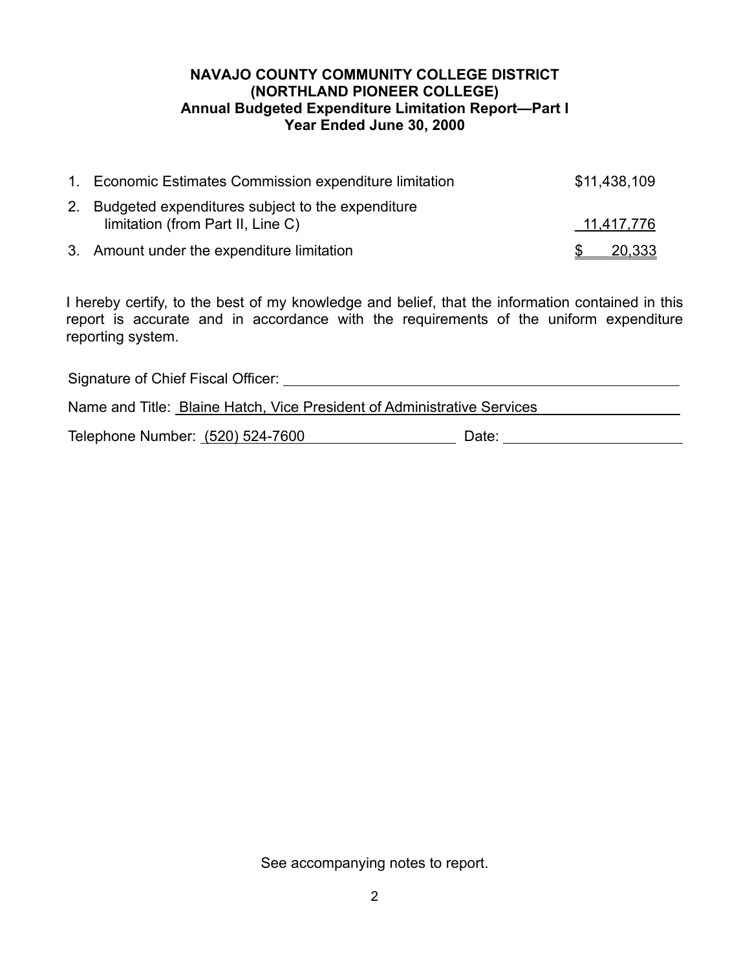## **NAVAJO COUNTY COMMUNITY COLLEGE DISTRICT (NORTHLAND PIONEER COLLEGE) Annual Budgeted Expenditure Limitation Report—Part I Year Ended June 30, 2000**

<span id="page-3-0"></span>

| 1. Economic Estimates Commission expenditure limitation | \$11,438,109 |
|---------------------------------------------------------|--------------|
| 2. Budgeted expenditures subject to the expenditure     |              |
| limitation (from Part II, Line C)                       | 11,417,776   |
| 3. Amount under the expenditure limitation              | 20,333       |

I hereby certify, to the best of my knowledge and belief, that the information contained in this report is accurate and in accordance with the requirements of the uniform expenditure reporting system.

| Signature of Chief Fiscal Officer:                                      |       |  |  |  |  |
|-------------------------------------------------------------------------|-------|--|--|--|--|
| Name and Title: Blaine Hatch, Vice President of Administrative Services |       |  |  |  |  |
| Telephone Number: (520) 524-7600                                        | Date: |  |  |  |  |

See accompanying notes to report.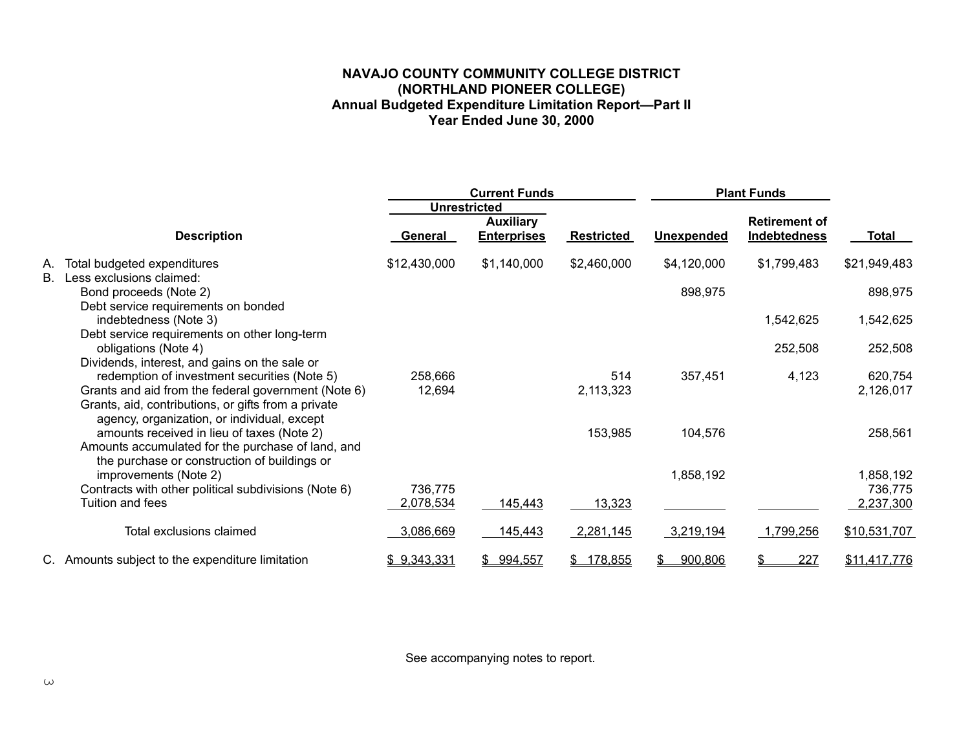### **NAVAJO COUNTY COMMUNITY COLLEGE DISTRICT (NORTHLAND PIONEER COLLEGE) Annual Budgeted Expenditure Limitation Report—Part II Year Ended June 30, 2000**

<span id="page-4-0"></span>

|           |                                                                                                                                                                                                                                                            | <b>Current Funds</b> |                                                               | <b>Plant Funds</b>    |                   |                                      |                      |
|-----------|------------------------------------------------------------------------------------------------------------------------------------------------------------------------------------------------------------------------------------------------------------|----------------------|---------------------------------------------------------------|-----------------------|-------------------|--------------------------------------|----------------------|
|           | <b>Description</b>                                                                                                                                                                                                                                         | General              | <b>Unrestricted</b><br><b>Auxiliary</b><br><b>Enterprises</b> | <b>Restricted</b>     | <b>Unexpended</b> | <b>Retirement of</b><br>Indebtedness | Total                |
| А.        | Total budgeted expenditures                                                                                                                                                                                                                                | \$12,430,000         | \$1,140,000                                                   | \$2,460,000           | \$4,120,000       | \$1,799,483                          | \$21,949,483         |
| <b>B.</b> | Less exclusions claimed:<br>Bond proceeds (Note 2)<br>Debt service requirements on bonded                                                                                                                                                                  |                      |                                                               |                       | 898,975           |                                      | 898,975              |
|           | indebtedness (Note 3)                                                                                                                                                                                                                                      |                      |                                                               |                       |                   | 1,542,625                            | 1,542,625            |
|           | Debt service requirements on other long-term<br>obligations (Note 4)                                                                                                                                                                                       |                      |                                                               |                       |                   | 252,508                              | 252,508              |
|           | Dividends, interest, and gains on the sale or<br>redemption of investment securities (Note 5)<br>Grants and aid from the federal government (Note 6)<br>Grants, aid, contributions, or gifts from a private<br>agency, organization, or individual, except | 258,666<br>12,694    |                                                               | 514<br>2,113,323      | 357,451           | 4,123                                | 620,754<br>2,126,017 |
|           | amounts received in lieu of taxes (Note 2)<br>Amounts accumulated for the purchase of land, and<br>the purchase or construction of buildings or                                                                                                            |                      |                                                               | 153,985               | 104,576           |                                      | 258,561              |
|           | improvements (Note 2)                                                                                                                                                                                                                                      |                      |                                                               |                       | 1,858,192         |                                      | 1,858,192            |
|           | Contracts with other political subdivisions (Note 6)<br>Tuition and fees                                                                                                                                                                                   | 736,775<br>2,078,534 | 145,443                                                       | 13,323                |                   |                                      | 736,775<br>2,237,300 |
|           | Total exclusions claimed                                                                                                                                                                                                                                   | 3,086,669            | 145,443                                                       | 2,281,145             | 3,219,194         | 1,799,256                            | \$10,531,707         |
|           | C. Amounts subject to the expenditure limitation                                                                                                                                                                                                           | \$9,343,331          | \$994,557                                                     | 178,855<br>$^{\circ}$ | 900,806<br>S.     | <u>227</u><br>\$                     | \$11,417,776         |

See accompanying notes to report.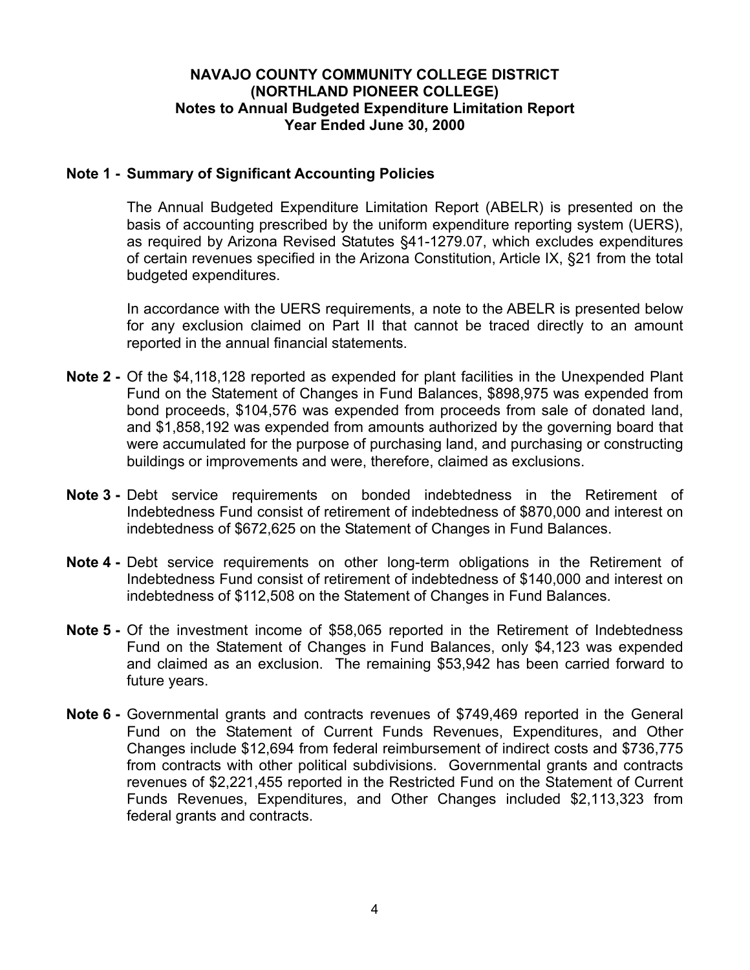## **NAVAJO COUNTY COMMUNITY COLLEGE DISTRICT (NORTHLAND PIONEER COLLEGE) Notes to Annual Budgeted Expenditure Limitation Report Year Ended June 30, 2000**

## <span id="page-5-0"></span>**Note 1 - Summary of Significant Accounting Policies**

The Annual Budgeted Expenditure Limitation Report (ABELR) is presented on the basis of accounting prescribed by the uniform expenditure reporting system (UERS), as required by Arizona Revised Statutes §41-1279.07, which excludes expenditures of certain revenues specified in the Arizona Constitution, Article IX, §21 from the total budgeted expenditures.

In accordance with the UERS requirements, a note to the ABELR is presented below for any exclusion claimed on Part II that cannot be traced directly to an amount reported in the annual financial statements.

- **Note 2 -** Of the \$4,118,128 reported as expended for plant facilities in the Unexpended Plant Fund on the Statement of Changes in Fund Balances, \$898,975 was expended from bond proceeds, \$104,576 was expended from proceeds from sale of donated land, and \$1,858,192 was expended from amounts authorized by the governing board that were accumulated for the purpose of purchasing land, and purchasing or constructing buildings or improvements and were, therefore, claimed as exclusions.
- **Note 3 Debt** service requirements on bonded indebtedness in the Retirement of Indebtedness Fund consist of retirement of indebtedness of \$870,000 and interest on indebtedness of \$672,625 on the Statement of Changes in Fund Balances.
- **Note 4 -** Debt service requirements on other long-term obligations in the Retirement of Indebtedness Fund consist of retirement of indebtedness of \$140,000 and interest on indebtedness of \$112,508 on the Statement of Changes in Fund Balances.
- **Note 5 -** Of the investment income of \$58,065 reported in the Retirement of Indebtedness Fund on the Statement of Changes in Fund Balances, only \$4,123 was expended and claimed as an exclusion. The remaining \$53,942 has been carried forward to future years.
- **Note 6** Governmental grants and contracts revenues of \$749,469 reported in the General Fund on the Statement of Current Funds Revenues, Expenditures, and Other Changes include \$12,694 from federal reimbursement of indirect costs and \$736,775 from contracts with other political subdivisions. Governmental grants and contracts revenues of \$2,221,455 reported in the Restricted Fund on the Statement of Current Funds Revenues, Expenditures, and Other Changes included \$2,113,323 from federal grants and contracts.